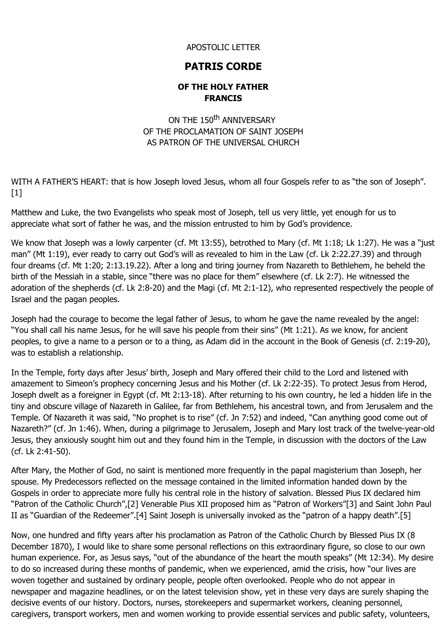#### APOSTOLIC LETTER

# **PATRIS CORDE**

### **OF THE HOLY FATHER FRANCIS**

# ON THE 150<sup>th</sup> ANNIVERSARY OF THE PROCLAMATION OF SAINT JOSEPH AS PATRON OF THE UNIVERSAL CHURCH

<span id="page-0-0"></span>WITH A FATHER'S HEART: that is how Joseph loved Jesus, whom all four Gospels refer to as "the son of Joseph".  $[1]$ 

Matthew and Luke, the two Evangelists who speak most of Joseph, tell us very little, yet enough for us to appreciate what sort of father he was, and the mission entrusted to him by God's providence.

We know that Joseph was a lowly carpenter (cf. Mt 13:55), betrothed to Mary (cf. Mt 1:18; Lk 1:27). He was a "just man" (Mt 1:19), ever ready to carry out God's will as revealed to him in the Law (cf. Lk 2:22.27.39) and through four dreams (cf. Mt 1:20; 2:13.19.22). After a long and tiring journey from Nazareth to Bethlehem, he beheld the birth of the Messiah in a stable, since "there was no place for them" elsewhere (cf. Lk 2:7). He witnessed the adoration of the shepherds (cf. Lk 2:8-20) and the Magi (cf. Mt 2:1-12), who represented respectively the people of Israel and the pagan peoples.

Joseph had the courage to become the legal father of Jesus, to whom he gave the name revealed by the angel: "You shall call his name Jesus, for he will save his people from their sins" (Mt 1:21). As we know, for ancient peoples, to give a name to a person or to a thing, as Adam did in the account in the Book of Genesis (cf. 2:19-20), was to establish a relationship.

In the Temple, forty days after Jesus' birth, Joseph and Mary offered their child to the Lord and listened with amazement to Simeon's prophecy concerning Jesus and his Mother (cf. Lk 2:22-35). To protect Jesus from Herod, Joseph dwelt as a foreigner in Egypt (cf. Mt 2:13-18). After returning to his own country, he led a hidden life in the tiny and obscure village of Nazareth in Galilee, far from Bethlehem, his ancestral town, and from Jerusalem and the Temple. Of Nazareth it was said, "No prophet is to rise" (cf. Jn 7:52) and indeed, "Can anything good come out of Nazareth?" (cf. Jn 1:46). When, during a pilgrimage to Jerusalem, Joseph and Mary lost track of the twelve-year-old Jesus, they anxiously sought him out and they found him in the Temple, in discussion with the doctors of the Law (cf. Lk 2:41-50).

After Mary, the Mother of God, no saint is mentioned more frequently in the papal magisterium than Joseph, her spouse. My Predecessors reflected on the message contained in the limited information handed down by the Gospels in order to appreciate more fully his central role in the history of salvation. Blessed [Pius](http://www.vatican.va/content/pius-ix/en.html) IX declared him "Patron of the Catholic Church",[\[2\]](#page-7-1) Venerable [Pius](http://www.vatican.va/content/pius-xii/en.html) XII proposed him as "Patron of Workers["\[3\]](#page-7-2) and Saint John Paul II as "Guardian of the [Redeemer".\[4\]](http://www.vatican.va/content/john-paul-ii/en.html) Saint Joseph is universally invoked as the "patron of a happy death"[.\[5\]](#page-7-4)

<span id="page-0-4"></span><span id="page-0-3"></span><span id="page-0-2"></span><span id="page-0-1"></span>caregivers, transport workers, men and women working to provide essential services and public safety, volunteers, Now, one hundred and fifty years after his proclamation as Patron of the Catholic Church by Blessed [Pius](http://www.vatican.va/content/pius-ix/en.html) IX (8 December 1870), I would like to share some personal reflections on this extraordinary figure, so close to our own human experience. For, as Jesus says, "out of the abundance of the heart the mouth speaks" (Mt 12:34). My desire to do so increased during these months of pandemic, when we experienced, amid the crisis, how "our lives are woven together and sustained by ordinary people, people often overlooked. People who do not appear in newspaper and magazine headlines, or on the latest television show, yet in these very days are surely shaping the decisive events of our history. Doctors, nurses, storekeepers and supermarket workers, cleaning personnel,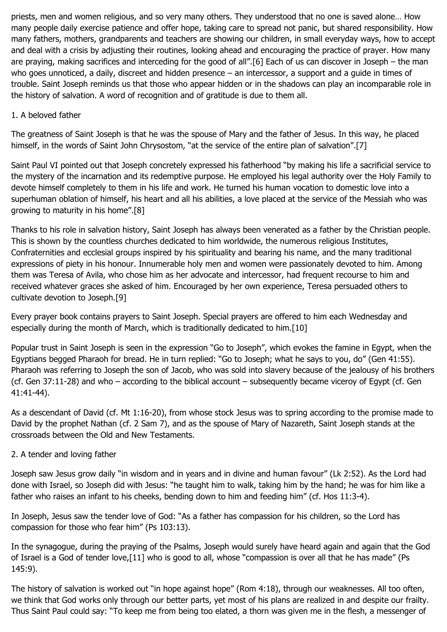<span id="page-1-0"></span>priests, men and women religious, and so very many others. They understood that no one is saved alone… How many people daily exercise patience and offer hope, taking care to spread not panic, but shared responsibility. How many fathers, mothers, grandparents and teachers are showing our children, in small everyday ways, how to accept and deal with a crisis by adjusting their routines, looking ahead and encouraging the practice of prayer. How many are praying, making sacrifices and interceding for the good of all"[.\[6\]](#page-7-5) Each of us can discover in Joseph – the man who goes unnoticed, a daily, discreet and hidden presence – an intercessor, a support and a guide in times of trouble. Saint Joseph reminds us that those who appear hidden or in the shadows can play an incomparable role in the history of salvation. A word of recognition and of gratitude is due to them all.

# 1. A beloved father

<span id="page-1-1"></span>The greatness of Saint Joseph is that he was the spouse of Mary and the father of Jesus. In this way, he placed himself, in the words of Saint John Chrysostom, "at the service of the entire plan of salvation"[.\[7\]](#page-7-6)

[Saint](http://www.vatican.va/content/paul-vi/en.html) Paul VI pointed out that Joseph concretely expressed his fatherhood "by making his life a sacrificial service to the mystery of the incarnation and its redemptive purpose. He employed his legal authority over the Holy Family to devote himself completely to them in his life and work. He turned his human vocation to domestic love into a superhuman oblation of himself, his heart and all his abilities, a love placed at the service of the Messiah who was growing to maturity in his home".[\[8\]](#page-7-7)

<span id="page-1-2"></span>Thanks to his role in salvation history, Saint Joseph has always been venerated as a father by the Christian people. This is shown by the countless churches dedicated to him worldwide, the numerous religious Institutes, Confraternities and ecclesial groups inspired by his spirituality and bearing his name, and the many traditional expressions of piety in his honour. Innumerable holy men and women were passionately devoted to him. Among them was Teresa of Avila, who chose him as her advocate and intercessor, had frequent recourse to him and received whatever graces she asked of him. Encouraged by her own experience, Teresa persuaded others to cultivate devotion to Joseph[.\[9\]](#page-7-8)

<span id="page-1-4"></span><span id="page-1-3"></span>Every prayer book contains prayers to Saint Joseph. Special prayers are offered to him each Wednesday and especially during the month of March, which is traditionally dedicated to him.[\[10\]](#page-7-9)

Popular trust in Saint Joseph is seen in the expression "Go to Joseph", which evokes the famine in Egypt, when the Egyptians begged Pharaoh for bread. He in turn replied: "Go to Joseph; what he says to you, do" (Gen 41:55). Pharaoh was referring to Joseph the son of Jacob, who was sold into slavery because of the jealousy of his brothers (cf. Gen 37:11-28) and who – according to the biblical account – subsequently became viceroy of Egypt (cf. Gen 41:41-44).

As a descendant of David (cf. Mt 1:16-20), from whose stock Jesus was to spring according to the promise made to David by the prophet Nathan (cf. 2 Sam 7), and as the spouse of Mary of Nazareth, Saint Joseph stands at the crossroads between the Old and New Testaments.

#### 2. A tender and loving father

Joseph saw Jesus grow daily "in wisdom and in years and in divine and human favour" (Lk 2:52). As the Lord had done with Israel, so Joseph did with Jesus: "he taught him to walk, taking him by the hand; he was for him like a father who raises an infant to his cheeks, bending down to him and feeding him" (cf. Hos 11:3-4).

In Joseph, Jesus saw the tender love of God: "As a father has compassion for his children, so the Lord has compassion for those who fear him" (Ps 103:13).

<span id="page-1-5"></span>In the synagogue, during the praying of the Psalms, Joseph would surely have heard again and again that the God of Israel is a God of tender love[,\[11\]](#page-7-10) who is good to all, whose "compassion is over all that he has made" (Ps 145:9).

Thus Saint Paul could say: "To keep me from being too elated, a thorn was given me in the flesh, a messenger of<br> The history of salvation is worked out "in hope against hope" (Rom 4:18), through our weaknesses. All too often, we think that God works only through our better parts, yet most of his plans are realized in and despite our frailty.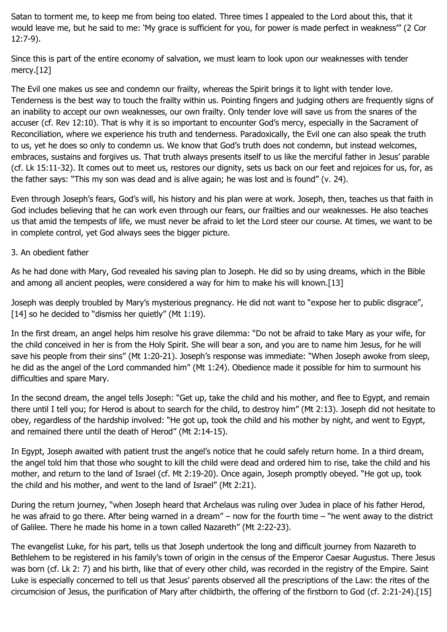Satan to torment me, to keep me from being too elated. Three times I appealed to the Lord about this, that it would leave me, but he said to me: 'My grace is sufficient for you, for power is made perfect in weakness'" (2 Cor 12:7-9).

<span id="page-2-0"></span>Since this is part of the entire economy of salvation, we must learn to look upon our weaknesses with tender mercy.[\[12\]](#page-7-11)

The Evil one makes us see and condemn our frailty, whereas the Spirit brings it to light with tender love. Tenderness is the best way to touch the frailty within us. Pointing fingers and judging others are frequently signs of an inability to accept our own weaknesses, our own frailty. Only tender love will save us from the snares of the accuser (cf. Rev 12:10). That is why it is so important to encounter God's mercy, especially in the Sacrament of Reconciliation, where we experience his truth and tenderness. Paradoxically, the Evil one can also speak the truth to us, yet he does so only to condemn us. We know that God's truth does not condemn, but instead welcomes, embraces, sustains and forgives us. That truth always presents itself to us like the merciful father in Jesus' parable (cf. Lk 15:11-32). It comes out to meet us, restores our dignity, sets us back on our feet and rejoices for us, for, as the father says: "This my son was dead and is alive again; he was lost and is found" (v. 24).

Even through Joseph's fears, God's will, his history and his plan were at work. Joseph, then, teaches us that faith in God includes believing that he can work even through our fears, our frailties and our weaknesses. He also teaches us that amid the tempests of life, we must never be afraid to let the Lord steer our course. At times, we want to be in complete control, yet God always sees the bigger picture.

## 3. An obedient father

As he had done with Mary, God revealed his saving plan to Joseph. He did so by using dreams, which in the Bible and among all ancient peoples, were considered a way for him to make his will known[.\[13\]](#page-7-12)

<span id="page-2-2"></span><span id="page-2-1"></span>Joseph was deeply troubled by Mary's mysterious pregnancy. He did not want to "expose her to public disgrace", [\[14\]](#page-7-13) so he decided to "dismiss her quietly" (Mt 1:19).

In the first dream, an angel helps him resolve his grave dilemma: "Do not be afraid to take Mary as your wife, for the child conceived in her is from the Holy Spirit. She will bear a son, and you are to name him Jesus, for he will save his people from their sins" (Mt 1:20-21). Joseph's response was immediate: "When Joseph awoke from sleep, he did as the angel of the Lord commanded him" (Mt 1:24). Obedience made it possible for him to surmount his difficulties and spare Mary.

In the second dream, the angel tells Joseph: "Get up, take the child and his mother, and flee to Egypt, and remain there until I tell you; for Herod is about to search for the child, to destroy him" (Mt 2:13). Joseph did not hesitate to obey, regardless of the hardship involved: "He got up, took the child and his mother by night, and went to Egypt, and remained there until the death of Herod" (Mt 2:14-15).

In Egypt, Joseph awaited with patient trust the angel's notice that he could safely return home. In a third dream, the angel told him that those who sought to kill the child were dead and ordered him to rise, take the child and his mother, and return to the land of Israel (cf. Mt 2:19-20). Once again, Joseph promptly obeyed. "He got up, took the child and his mother, and went to the land of Israel" (Mt 2:21).

During the return journey, "when Joseph heard that Archelaus was ruling over Judea in place of his father Herod, he was afraid to go there. After being warned in a dream" – now for the fourth time – "he went away to the district of Galilee. There he made his home in a town called Nazareth" (Mt 2:22-23).

<span id="page-2-3"></span>The evangelist Luke, for his part, tells us that Joseph undertook the long and difficult journey from Nazareth to Bethlehem to be registered in his family's town of origin in the census of the Emperor Caesar Augustus. There Jesus was born (cf. Lk 2: 7) and his birth, like that of every other child, was recorded in the registry of the Empire. Saint Luke is especially concerned to tell us that Jesus' parents observed all the prescriptions of the Law: the rites of the circumcision of Jesus, the purification of Mary after childbirth, the offering of the firstborn to God (cf. 2:21-24)[.\[15\]](#page-7-14)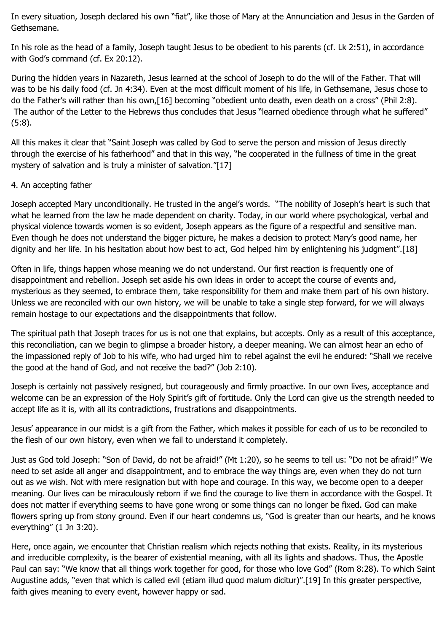In every situation, Joseph declared his own "fiat", like those of Mary at the Annunciation and Jesus in the Garden of Gethsemane.

In his role as the head of a family, Joseph taught Jesus to be obedient to his parents (cf. Lk 2:51), in accordance with God's command (cf. Ex 20:12).

<span id="page-3-0"></span>During the hidden years in Nazareth, Jesus learned at the school of Joseph to do the will of the Father. That will was to be his daily food (cf. Jn 4:34). Even at the most difficult moment of his life, in Gethsemane, Jesus chose to do the Father's will rather than his own,[\[16\]](#page-8-0) becoming "obedient unto death, even death on a cross" (Phil 2:8). The author of the Letter to the Hebrews thus concludes that Jesus "learned obedience through what he suffered" (5:8).

<span id="page-3-1"></span>All this makes it clear that "Saint Joseph was called by God to serve the person and mission of Jesus directly through the exercise of his fatherhood" and that in this way, "he cooperated in the fullness of time in the great mystery of salvation and is truly a minister of salvation.["\[17\]](#page-8-1)

#### 4. An accepting father

Joseph accepted Mary unconditionally. He trusted in the angel's words. "The nobility of Joseph's heart is such that what he learned from the law he made dependent on charity. Today, in our world where psychological, verbal and physical violence towards women is so evident, Joseph appears as the figure of a respectful and sensitive man. Even though he does not understand the bigger picture, he makes a decision to protect Mary's good name, her dignity and her life. In his hesitation about how best to act, God helped him by enlightening his judgment".[\[18\]](#page-8-2)

<span id="page-3-2"></span>Often in life, things happen whose meaning we do not understand. Our first reaction is frequently one of disappointment and rebellion. Joseph set aside his own ideas in order to accept the course of events and, mysterious as they seemed, to embrace them, take responsibility for them and make them part of his own history. Unless we are reconciled with our own history, we will be unable to take a single step forward, for we will always remain hostage to our expectations and the disappointments that follow.

The spiritual path that Joseph traces for us is not one that explains, but accepts. Only as a result of this acceptance, this reconciliation, can we begin to glimpse a broader history, a deeper meaning. We can almost hear an echo of the impassioned reply of Job to his wife, who had urged him to rebel against the evil he endured: "Shall we receive the good at the hand of God, and not receive the bad?" (Job 2:10).

Joseph is certainly not passively resigned, but courageously and firmly proactive. In our own lives, acceptance and welcome can be an expression of the Holy Spirit's gift of fortitude. Only the Lord can give us the strength needed to accept life as it is, with all its contradictions, frustrations and disappointments.

Jesus' appearance in our midst is a gift from the Father, which makes it possible for each of us to be reconciled to the flesh of our own history, even when we fail to understand it completely.

Just as God told Joseph: "Son of David, do not be afraid!" (Mt 1:20), so he seems to tell us: "Do not be afraid!" We need to set aside all anger and disappointment, and to embrace the way things are, even when they do not turn out as we wish. Not with mere resignation but with hope and courage. In this way, we become open to a deeper meaning. Our lives can be miraculously reborn if we find the courage to live them in accordance with the Gospel. It does not matter if everything seems to have gone wrong or some things can no longer be fixed. God can make flowers spring up from stony ground. Even if our heart condemns us, "God is greater than our hearts, and he knows everything" (1 Jn 3:20).

<span id="page-3-3"></span>Here, once again, we encounter that Christian realism which rejects nothing that exists. Reality, in its mysterious and irreducible complexity, is the bearer of existential meaning, with all its lights and shadows. Thus, the Apostle Paul can say: "We know that all things work together for good, for those who love God" (Rom 8:28). To which Saint Augustine adds, "even that which is called evil (etiam illud quod malum dicitur)".[\[19\]](#page-8-3) In this greater perspective, faith gives meaning to every event, however happy or sad.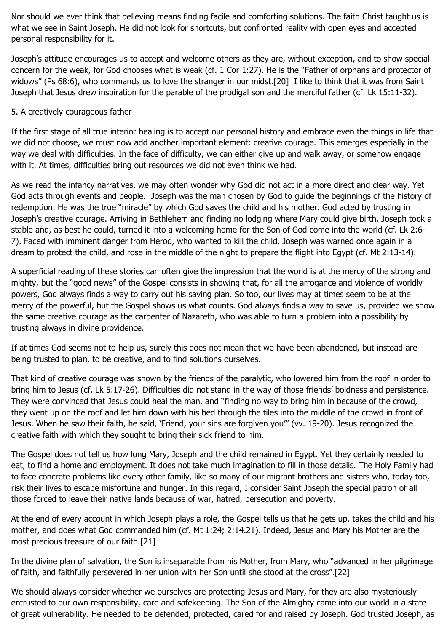Nor should we ever think that believing means finding facile and comforting solutions. The faith Christ taught us is what we see in Saint Joseph. He did not look for shortcuts, but confronted reality with open eyes and accepted personal responsibility for it.

<span id="page-4-0"></span>Joseph's attitude encourages us to accept and welcome others as they are, without exception, and to show special concern for the weak, for God chooses what is weak (cf. 1 Cor 1:27). He is the "Father of orphans and protector of widows" (Ps 68:6), who commands us to love the stranger in our midst.[\[20\]](#page-8-4) I like to think that it was from Saint Joseph that Jesus drew inspiration for the parable of the prodigal son and the merciful father (cf. Lk 15:11-32).

### 5. A creatively courageous father

If the first stage of all true interior healing is to accept our personal history and embrace even the things in life that we did not choose, we must now add another important element: creative courage. This emerges especially in the way we deal with difficulties. In the face of difficulty, we can either give up and walk away, or somehow engage with it. At times, difficulties bring out resources we did not even think we had.

As we read the infancy narratives, we may often wonder why God did not act in a more direct and clear way. Yet God acts through events and people. Joseph was the man chosen by God to guide the beginnings of the history of redemption. He was the true "miracle" by which God saves the child and his mother. God acted by trusting in Joseph's creative courage. Arriving in Bethlehem and finding no lodging where Mary could give birth, Joseph took a stable and, as best he could, turned it into a welcoming home for the Son of God come into the world (cf. Lk 2:6- 7). Faced with imminent danger from Herod, who wanted to kill the child, Joseph was warned once again in a dream to protect the child, and rose in the middle of the night to prepare the flight into Egypt (cf. Mt 2:13-14).

A superficial reading of these stories can often give the impression that the world is at the mercy of the strong and mighty, but the "good news" of the Gospel consists in showing that, for all the arrogance and violence of worldly powers, God always finds a way to carry out his saving plan. So too, our lives may at times seem to be at the mercy of the powerful, but the Gospel shows us what counts. God always finds a way to save us, provided we show the same creative courage as the carpenter of Nazareth, who was able to turn a problem into a possibility by trusting always in divine providence.

If at times God seems not to help us, surely this does not mean that we have been abandoned, but instead are being trusted to plan, to be creative, and to find solutions ourselves.

That kind of creative courage was shown by the friends of the paralytic, who lowered him from the roof in order to bring him to Jesus (cf. Lk 5:17-26). Difficulties did not stand in the way of those friends' boldness and persistence. They were convinced that Jesus could heal the man, and "finding no way to bring him in because of the crowd, they went up on the roof and let him down with his bed through the tiles into the middle of the crowd in front of Jesus. When he saw their faith, he said, 'Friend, your sins are forgiven you'" (vv. 19-20). Jesus recognized the creative faith with which they sought to bring their sick friend to him.

The Gospel does not tell us how long Mary, Joseph and the child remained in Egypt. Yet they certainly needed to eat, to find a home and employment. It does not take much imagination to fill in those details. The Holy Family had to face concrete problems like every other family, like so many of our migrant brothers and sisters who, today too, risk their lives to escape misfortune and hunger. In this regard, I consider Saint Joseph the special patron of all those forced to leave their native lands because of war, hatred, persecution and poverty.

<span id="page-4-1"></span>At the end of every account in which Joseph plays a role, the Gospel tells us that he gets up, takes the child and his mother, and does what God commanded him (cf. Mt 1:24; 2:14.21). Indeed, Jesus and Mary his Mother are the most precious treasure of our faith.[\[21\]](#page-8-5)

In the divine plan of salvation, the Son is inseparable from his Mother, from Mary, who "advanced in her pilgrimage of faith, and faithfully persevered in her union with her Son until she stood at the cross".[\[22\]](#page-8-6)

<span id="page-4-2"></span>of great vulnerability. He needed to be defended, protected, cared for and raised by Joseph. God trusted Joseph, as We should always consider whether we ourselves are protecting Jesus and Mary, for they are also mysteriously entrusted to our own responsibility, care and safekeeping. The Son of the Almighty came into our world in a state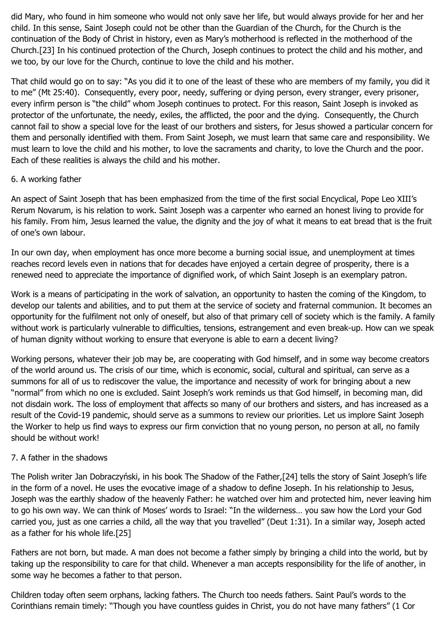did Mary, who found in him someone who would not only save her life, but would always provide for her and her child. In this sense, Saint Joseph could not be other than the Guardian of the Church, for the Church is the continuation of the Body of Christ in history, even as Mary's motherhood is reflected in the motherhood of the Church.[\[23\]](#page-8-7) In his continued protection of the Church, Joseph continues to protect the child and his mother, and we too, by our love for the Church, continue to love the child and his mother.

<span id="page-5-0"></span>That child would go on to say: "As you did it to one of the least of these who are members of my family, you did it to me" (Mt 25:40). Consequently, every poor, needy, suffering or dying person, every stranger, every prisoner, every infirm person is "the child" whom Joseph continues to protect. For this reason, Saint Joseph is invoked as protector of the unfortunate, the needy, exiles, the afflicted, the poor and the dying. Consequently, the Church cannot fail to show a special love for the least of our brothers and sisters, for Jesus showed a particular concern for them and personally identified with them. From Saint Joseph, we must learn that same care and responsibility. We must learn to love the child and his mother, to love the sacraments and charity, to love the Church and the poor. Each of these realities is always the child and his mother.

## 6. A working father

An aspect of Saint Joseph that has been emphasized from the time of the first social Encyclical, [Pope](http://www.vatican.va/content/leo-xiii/en.html) Leo XIII's Rerum [Novarum,](http://www.vatican.va/content/leo-xiii/en/encyclicals/documents/hf_l-xiii_enc_15051891_rerum-novarum.html) is his relation to work. Saint Joseph was a carpenter who earned an honest living to provide for his family. From him, Jesus learned the value, the dignity and the joy of what it means to eat bread that is the fruit of one's own labour.

In our own day, when employment has once more become a burning social issue, and unemployment at times reaches record levels even in nations that for decades have enjoyed a certain degree of prosperity, there is a renewed need to appreciate the importance of dignified work, of which Saint Joseph is an exemplary patron.

Work is a means of participating in the work of salvation, an opportunity to hasten the coming of the Kingdom, to develop our talents and abilities, and to put them at the service of society and fraternal communion. It becomes an opportunity for the fulfilment not only of oneself, but also of that primary cell of society which is the family. A family without work is particularly vulnerable to difficulties, tensions, estrangement and even break-up. How can we speak of human dignity without working to ensure that everyone is able to earn a decent living?

Working persons, whatever their job may be, are cooperating with God himself, and in some way become creators of the world around us. The crisis of our time, which is economic, social, cultural and spiritual, can serve as a summons for all of us to rediscover the value, the importance and necessity of work for bringing about a new "normal" from which no one is excluded. Saint Joseph's work reminds us that God himself, in becoming man, did not disdain work. The loss of employment that affects so many of our brothers and sisters, and has increased as a result of the Covid-19 pandemic, should serve as a summons to review our priorities. Let us implore Saint Joseph the Worker to help us find ways to express our firm conviction that no young person, no person at all, no family should be without work!

#### 7. A father in the shadows

<span id="page-5-1"></span>The Polish writer Jan Dobraczyński, in his book The Shadow of the Father[,\[24\]](#page-8-8) tells the story of Saint Joseph's life in the form of a novel. He uses the evocative image of a shadow to define Joseph. In his relationship to Jesus, Joseph was the earthly shadow of the heavenly Father: he watched over him and protected him, never leaving him to go his own way. We can think of Moses' words to Israel: "In the wilderness… you saw how the Lord your God carried you, just as one carries a child, all the way that you travelled" (Deut 1:31). In a similar way, Joseph acted as a father for his whole life[.\[25\]](#page-8-9)

<span id="page-5-2"></span>Fathers are not born, but made. A man does not become a father simply by bringing a child into the world, but by taking up the responsibility to care for that child. Whenever a man accepts responsibility for the life of another, in some way he becomes a father to that person.

Children today often seem orphans, lacking fathers. The Church too needs fathers. Saint Paul's words to the Corinthians remain timely: "Though you have countless guides in Christ, you do not have many fathers" (1 Cor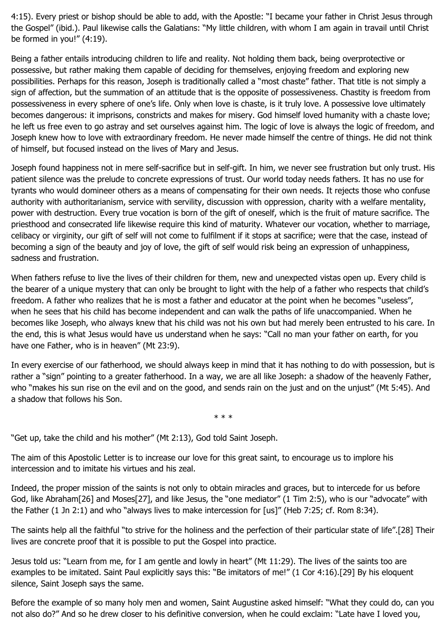4:15). Every priest or bishop should be able to add, with the Apostle: "I became your father in Christ Jesus through the Gospel" (ibid.). Paul likewise calls the Galatians: "My little children, with whom I am again in travail until Christ be formed in you!" (4:19).

Being a father entails introducing children to life and reality. Not holding them back, being overprotective or possessive, but rather making them capable of deciding for themselves, enjoying freedom and exploring new possibilities. Perhaps for this reason, Joseph is traditionally called a "most chaste" father. That title is not simply a sign of affection, but the summation of an attitude that is the opposite of possessiveness. Chastity is freedom from possessiveness in every sphere of one's life. Only when love is chaste, is it truly love. A possessive love ultimately becomes dangerous: it imprisons, constricts and makes for misery. God himself loved humanity with a chaste love; he left us free even to go astray and set ourselves against him. The logic of love is always the logic of freedom, and Joseph knew how to love with extraordinary freedom. He never made himself the centre of things. He did not think of himself, but focused instead on the lives of Mary and Jesus.

Joseph found happiness not in mere self-sacrifice but in self-gift. In him, we never see frustration but only trust. His patient silence was the prelude to concrete expressions of trust. Our world today needs fathers. It has no use for tyrants who would domineer others as a means of compensating for their own needs. It rejects those who confuse authority with authoritarianism, service with servility, discussion with oppression, charity with a welfare mentality, power with destruction. Every true vocation is born of the gift of oneself, which is the fruit of mature sacrifice. The priesthood and consecrated life likewise require this kind of maturity. Whatever our vocation, whether to marriage, celibacy or virginity, our gift of self will not come to fulfilment if it stops at sacrifice; were that the case, instead of becoming a sign of the beauty and joy of love, the gift of self would risk being an expression of unhappiness, sadness and frustration.

When fathers refuse to live the lives of their children for them, new and unexpected vistas open up. Every child is the bearer of a unique mystery that can only be brought to light with the help of a father who respects that child's freedom. A father who realizes that he is most a father and educator at the point when he becomes "useless", when he sees that his child has become independent and can walk the paths of life unaccompanied. When he becomes like Joseph, who always knew that his child was not his own but had merely been entrusted to his care. In the end, this is what Jesus would have us understand when he says: "Call no man your father on earth, for you have one Father, who is in heaven" (Mt 23:9).

In every exercise of our fatherhood, we should always keep in mind that it has nothing to do with possession, but is rather a "sign" pointing to a greater fatherhood. In a way, we are all like Joseph: a shadow of the heavenly Father, who "makes his sun rise on the evil and on the good, and sends rain on the just and on the unjust" (Mt 5:45). And a shadow that follows his Son.

<span id="page-6-3"></span><span id="page-6-2"></span><span id="page-6-1"></span>\* \* \*

"Get up, take the child and his mother" (Mt 2:13), God told Saint Joseph.

The aim of this Apostolic Letter is to increase our love for this great saint, to encourage us to implore his intercession and to imitate his virtues and his zeal.

<span id="page-6-0"></span>Indeed, the proper mission of the saints is not only to obtain miracles and graces, but to intercede for us before God, like Abraha[m\[26\]](#page-8-10) and Moses[\[27\]](#page-8-11), and like Jesus, the "one mediator" (1 Tim 2:5), who is our "advocate" with the Father (1 Jn 2:1) and who "always lives to make intercession for [us]" (Heb 7:25; cf. Rom 8:34).

The saints help all the faithful "to strive for the holiness and the perfection of their particular state of life"[.\[28\]](#page-8-12) Their lives are concrete proof that it is possible to put the Gospel into practice.

Jesus told us: "Learn from me, for I am gentle and lowly in heart" (Mt 11:29). The lives of the saints too are examples to be imitated. Saint Paul explicitly says this: "Be imitators of me!" (1 Cor 4:16)[.\[29\]](#page-8-13) By his eloquent silence, Saint Joseph says the same.

Before the example of so many holy men and women, Saint Augustine asked himself: "What they could do, can you not also do?" And so he drew closer to his definitive conversion, when he could exclaim: "Late have I loved you,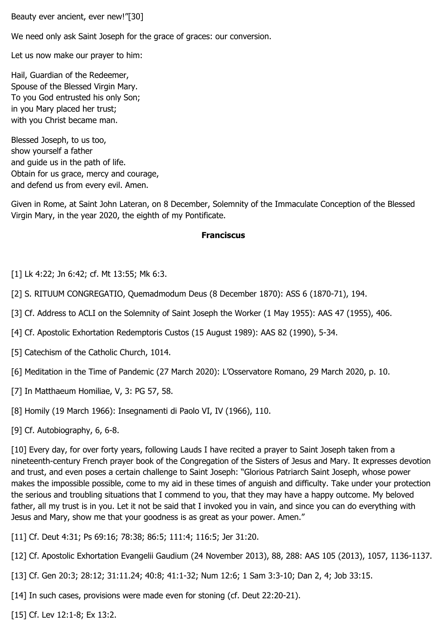<span id="page-7-15"></span>Beauty ever ancient, ever new!"[\[30\]](#page-8-14)

We need only ask Saint Joseph for the grace of graces: our conversion.

Let us now make our prayer to him:

Hail, Guardian of the Redeemer, Spouse of the Blessed Virgin Mary. To you God entrusted his only Son; in you Mary placed her trust; with you Christ became man.

Blessed Joseph, to us too, show yourself a father and guide us in the path of life. Obtain for us grace, mercy and courage, and defend us from every evil. Amen.

Given in Rome, at Saint John Lateran, on 8 December, Solemnity of the Immaculate Conception of the Blessed Virgin Mary, in the year 2020, the eighth of my Pontificate.

#### **Franciscus**

#### <span id="page-7-0"></span>[\[1\]](#page-0-0) Lk 4:22; Jn 6:42; cf. Mt 13:55; Mk 6:3.

- <span id="page-7-1"></span>[\[2\]](#page-0-1) S. RITUUM CONGREGATIO, Quemadmodum Deus (8 December 1870): ASS 6 (1870-71), 194.
- <span id="page-7-2"></span>[\[3\]](#page-0-2) Cf. Address to ACLI on the Solemnity of Saint Joseph the Worker (1 May 1955): AAS 47 (1955), 406.
- <span id="page-7-3"></span>[\[4\]](#page-0-3) Cf. Apostolic Exhortation [Redemptoris](http://www.vatican.va/content/john-paul-ii/en/apost_exhortations/documents/hf_jp-ii_exh_15081989_redemptoris-custos.html) Custos (15 August 1989): AAS 82 (1990), 5-34.
- <span id="page-7-4"></span>[\[5\]](#page-0-4) Catechism of the Catholic Church, 1014.
- <span id="page-7-5"></span>[\[6\]](#page-1-0) [Meditation](http://www.vatican.va/content/francesco/en/homilies/2020/documents/papa-francesco_20200327_omelia-epidemia.html) in the Time of Pandemic (27 March 2020): L'Osservatore Romano, 29 March 2020, p. 10.
- <span id="page-7-6"></span>[\[7\]](#page-1-1) In Matthaeum Homiliae, V, 3: PG 57, 58.
- <span id="page-7-7"></span>[\[8\]](#page-1-2) Homily (19 March 1966): Insegnamenti di Paolo VI, IV (1966), 110.
- <span id="page-7-8"></span>[\[9\]](#page-1-3) Cf. Autobiography, 6, 6-8.

<span id="page-7-9"></span>[\[10\]](#page-1-4) Every day, for over forty years, following Lauds I have recited a prayer to Saint Joseph taken from a nineteenth-century French prayer book of the Congregation of the Sisters of Jesus and Mary. It expresses devotion and trust, and even poses a certain challenge to Saint Joseph: "Glorious Patriarch Saint Joseph, whose power makes the impossible possible, come to my aid in these times of anguish and difficulty. Take under your protection the serious and troubling situations that I commend to you, that they may have a happy outcome. My beloved father, all my trust is in you. Let it not be said that I invoked you in vain, and since you can do everything with Jesus and Mary, show me that your goodness is as great as your power. Amen."

- <span id="page-7-10"></span>[\[11\]](#page-1-5) Cf. Deut 4:31; Ps 69:16; 78:38; 86:5; 111:4; 116:5; Jer 31:20.
- <span id="page-7-11"></span>[\[12\]](#page-2-0) Cf. Apostolic Exhortation Evangelii [Gaudium](http://www.vatican.va/content/francesco/en/apost_exhortations/documents/papa-francesco_esortazione-ap_20131124_evangelii-gaudium.html) (24 November 2013), [88](http://www.vatican.va/content/francesco/en/apost_exhortations/documents/papa-francesco_esortazione-ap_20131124_evangelii-gaudium.html#Yes_to_the_new_relationships_brought_by_Christ), [288:](http://www.vatican.va/content/francesco/en/apost_exhortations/documents/papa-francesco_esortazione-ap_20131124_evangelii-gaudium.html#II.%E2%80%82Mary,_mother_of_evangelization) AAS 105 (2013), 1057, 1136-1137.
- <span id="page-7-12"></span>[\[13\]](#page-2-1) Cf. Gen 20:3; 28:12; 31:11.24; 40:8; 41:1-32; Num 12:6; 1 Sam 3:3-10; Dan 2, 4; Job 33:15.
- <span id="page-7-13"></span>[\[14\]](#page-2-2) In such cases, provisions were made even for stoning (cf. Deut 22:20-21).
- <span id="page-7-14"></span>[\[15\]](#page-2-3) Cf. Lev 12:1-8; Ex 13:2.